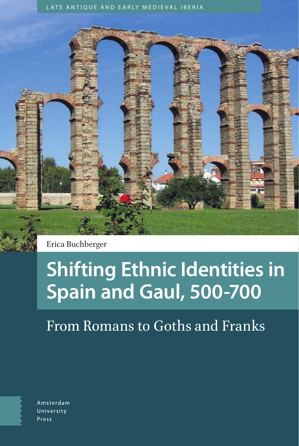#### LATE ANTIQUE AND EARLY MEDIEVAL IBERIA



# **Shifting Ethnic Identities in Spain and Gaul, 500-700**

# From Romans to Goths and Franks

Amsterdam University Press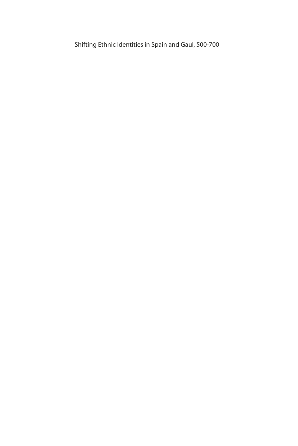Shifting Ethnic Identities in Spain and Gaul, 500-700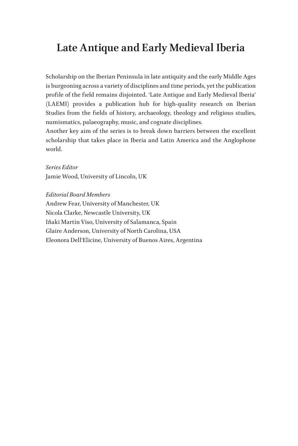# **Late Antique and Early Medieval Iberia**

Scholarship on the Iberian Peninsula in late antiquity and the early Middle Ages is burgeoning across a variety of disciplines and time periods, yet the publication profile of the field remains disjointed. 'Late Antique and Early Medieval Iberia' (LAEMI) provides a publication hub for high-quality research on Iberian Studies from the fields of history, archaeology, theology and religious studies, numismatics, palaeography, music, and cognate disciplines.

Another key aim of the series is to break down barriers between the excellent scholarship that takes place in Iberia and Latin America and the Anglophone world.

*Series Editor* Jamie Wood, University of Lincoln, UK

*Editorial Board Members*

Andrew Fear, University of Manchester, UK Nicola Clarke, Newcastle University, UK Iñaki Martín Viso, University of Salamanca, Spain Glaire Anderson, University of North Carolina, USA Eleonora Dell'Elicine, University of Buenos Aires, Argentina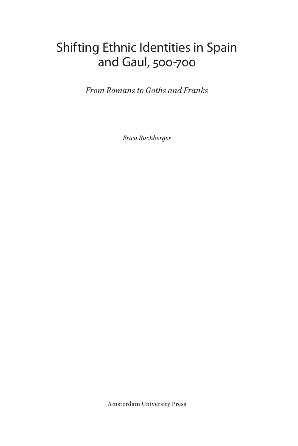# Shifting Ethnic Identities in Spain and Gaul, 500-700

*From Romans to Goths and Franks*

*Erica Buchberger*

Amsterdam University Press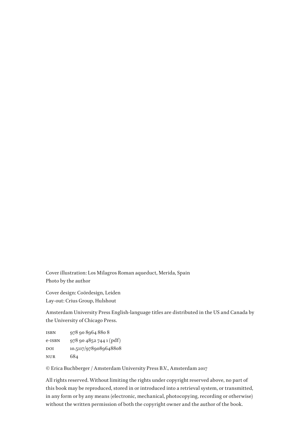Cover illustration: Los Milagros Roman aqueduct, Merida, Spain Photo by the author

Cover design: Coördesign, Leiden Lay-out: Crius Group, Hulshout

Amsterdam University Press English-language titles are distributed in the US and Canada by the University of Chicago Press.

isbn 978 90 8964 880 8 e-isbn 978 90 4852 744 1 (pdf) DOI 10.5117/9789089648808 nur 684

© Erica Buchberger / Amsterdam University Press B.V., Amsterdam 2017

All rights reserved. Without limiting the rights under copyright reserved above, no part of this book may be reproduced, stored in or introduced into a retrieval system, or transmitted, in any form or by any means (electronic, mechanical, photocopying, recording or otherwise) without the written permission of both the copyright owner and the author of the book.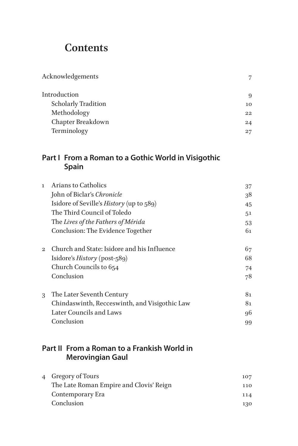# **Contents**

| Acknowledgements           | 7  |
|----------------------------|----|
| Introduction               | 9  |
| <b>Scholarly Tradition</b> | 10 |
| Methodology                | 22 |
| Chapter Breakdown          | 24 |
| Terminology                | 27 |

#### **[Part I](#page-31-0) [From a Roman to a Gothic World in Visigothic](#page-31-0)  [Spain](#page-31-0)**

| $\mathbf{1}$ | Arians to Catholics                           | 37 |
|--------------|-----------------------------------------------|----|
|              | John of Biclar's Chronicle                    | 38 |
|              | Isidore of Seville's History (up to 589)      | 45 |
|              | The Third Council of Toledo                   | 51 |
|              | The Lives of the Fathers of Mérida            | 53 |
|              | Conclusion: The Evidence Together             | 61 |
| $\mathbf{2}$ | Church and State: Isidore and his Influence   | 67 |
|              | Isidore's <i>History</i> (post-589)           | 68 |
|              | Church Councils to 654                        | 74 |
|              | Conclusion                                    | 78 |
| 3            | The Later Seventh Century                     | 81 |
|              | Chindaswinth, Recceswinth, and Visigothic Law | 81 |
|              | Later Councils and Laws                       | 96 |
|              | Conclusion                                    | 99 |
|              |                                               |    |

### **[Part II](#page--1-0) [From a Roman to a Frankish World in](#page--1-0)  [Merovingian Gaul](#page--1-0)**

| 4 Gregory of Tours                      | 107 |
|-----------------------------------------|-----|
| The Late Roman Empire and Clovis' Reign | 110 |
| Contemporary Era                        | 114 |
| Conclusion                              | 130 |
|                                         |     |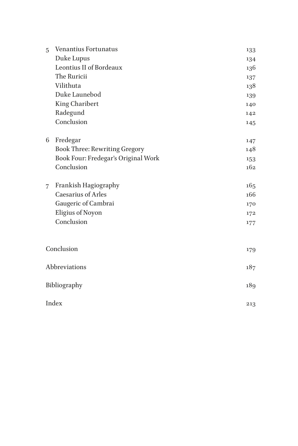| 5              | Venantius Fortunatus                | 133 |
|----------------|-------------------------------------|-----|
|                | Duke Lupus                          | 134 |
|                | Leontius II of Bordeaux             | 136 |
|                | The Ruricii                         | 137 |
|                | Vilithuta                           | 138 |
|                | Duke Launebod                       | 139 |
|                | King Charibert                      | 140 |
|                | Radegund                            | 142 |
|                | Conclusion                          | 145 |
| 6              | Fredegar                            | 147 |
|                | Book Three: Rewriting Gregory       | 148 |
|                | Book Four: Fredegar's Original Work | 153 |
|                | Conclusion                          | 162 |
| $\overline{7}$ | Frankish Hagiography                | 165 |
|                | <b>Caesarius of Arles</b>           | 166 |
|                | Gaugeric of Cambrai                 | 170 |
|                | <b>Eligius of Noyon</b>             | 172 |
|                | Conclusion                          | 177 |
|                | Conclusion                          |     |
|                |                                     | 179 |
|                | Abbreviations                       | 187 |
|                | Bibliography                        | 189 |
|                | Index                               | 213 |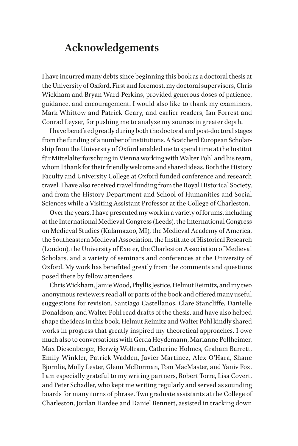## <span id="page-7-0"></span>**Acknowledgements**

I have incurred many debts since beginning this book as a doctoral thesis at the University of Oxford. First and foremost, my doctoral supervisors, Chris Wickham and Bryan Ward-Perkins, provided generous doses of patience, guidance, and encouragement. I would also like to thank my examiners, Mark Whittow and Patrick Geary, and earlier readers, Ian Forrest and Conrad Leyser, for pushing me to analyze my sources in greater depth.

I have benefited greatly during both the doctoral and post-doctoral stages from the funding of a number of institutions. A Scatcherd European Scholarship from the University of Oxford enabled me to spend time at the Institut für Mittelalterforschung in Vienna working with Walter Pohl and his team, whom I thank for their friendly welcome and shared ideas. Both the History Faculty and University College at Oxford funded conference and research travel. I have also received travel funding from the Royal Historical Society, and from the History Department and School of Humanities and Social Sciences while a Visiting Assistant Professor at the College of Charleston.

Over the years, I have presented my work in a variety of forums, including at the International Medieval Congress (Leeds), the International Congress on Medieval Studies (Kalamazoo, MI), the Medieval Academy of America, the Southeastern Medieval Association, the Institute of Historical Research (London), the University of Exeter, the Charleston Association of Medieval Scholars, and a variety of seminars and conferences at the University of Oxford. My work has benefited greatly from the comments and questions posed there by fellow attendees.

Chris Wickham, Jamie Wood, Phyllis Jestice, Helmut Reimitz, and my two anonymous reviewers read all or parts of the book and offered many useful suggestions for revision. Santiago Castellanos, Clare Stancliffe, Danielle Donaldson, and Walter Pohl read drafts of the thesis, and have also helped shape the ideas in this book. Helmut Reimitz and Walter Pohl kindly shared works in progress that greatly inspired my theoretical approaches. I owe much also to conversations with Gerda Heydemann, Marianne Pollheimer, Max Diesenberger, Herwig Wolfram, Catherine Holmes, Graham Barrett, Emily Winkler, Patrick Wadden, Javier Martinez, Alex O'Hara, Shane Bjornlie, Molly Lester, Glenn McDorman, Tom MacMaster, and Yaniv Fox. I am especially grateful to my writing partners, Robert Torre, Lisa Covert, and Peter Schadler, who kept me writing regularly and served as sounding boards for many turns of phrase. Two graduate assistants at the College of Charleston, Jordan Hardee and Daniel Bennett, assisted in tracking down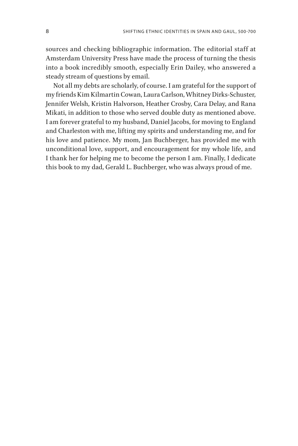sources and checking bibliographic information. The editorial staff at Amsterdam University Press have made the process of turning the thesis into a book incredibly smooth, especially Erin Dailey, who answered a steady stream of questions by email.

Not all my debts are scholarly, of course. I am grateful for the support of my friends Kim Kilmartin Cowan, Laura Carlson, Whitney Dirks-Schuster, Jennifer Welsh, Kristin Halvorson, Heather Crosby, Cara Delay, and Rana Mikati, in addition to those who served double duty as mentioned above. I am forever grateful to my husband, Daniel Jacobs, for moving to England and Charleston with me, lifting my spirits and understanding me, and for his love and patience. My mom, Jan Buchberger, has provided me with unconditional love, support, and encouragement for my whole life, and I thank her for helping me to become the person I am. Finally, I dedicate this book to my dad, Gerald L. Buchberger, who was always proud of me.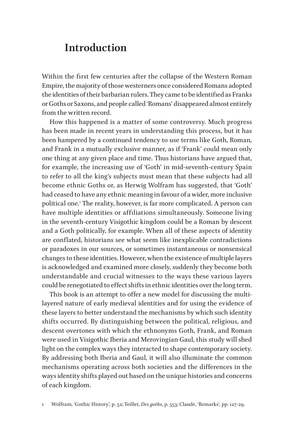## <span id="page-9-0"></span>**Introduction**

Within the first few centuries after the collapse of the Western Roman Empire, the majority of those westerners once considered Romans adopted the identities of their barbarian rulers. They came to be identified as Franks or Goths or Saxons, and people called 'Romans' disappeared almost entirely from the written record.

How this happened is a matter of some controversy. Much progress has been made in recent years in understanding this process, but it has been hampered by a continued tendency to use terms like Goth, Roman, and Frank in a mutually exclusive manner, as if 'Frank' could mean only one thing at any given place and time. Thus historians have argued that, for example, the increasing use of 'Goth' in mid-seventh-century Spain to refer to all the king's subjects must mean that these subjects had all become ethnic Goths or, as Herwig Wolfram has suggested, that 'Goth' had ceased to have any ethnic meaning in favour of a wider, more inclusive political one.1 The reality, however, is far more complicated. A person can have multiple identities or affiliations simultaneously. Someone living in the seventh-century Visigothic kingdom could be a Roman by descent and a Goth politically, for example. When all of these aspects of identity are conflated, historians see what seem like inexplicable contradictions or paradoxes in our sources, or sometimes instantaneous or nonsensical changes to these identities. However, when the existence of multiple layers is acknowledged and examined more closely, suddenly they become both understandable and crucial witnesses to the ways these various layers could be renegotiated to effect shifts in ethnic identities over the long term.

This book is an attempt to offer a new model for discussing the multilayered nature of early medieval identities and for using the evidence of these layers to better understand the mechanisms by which such identity shifts occurred. By distinguishing between the political, religious, and descent overtones with which the ethnonyms Goth, Frank, and Roman were used in Visigothic Iberia and Merovingian Gaul, this study will shed light on the complex ways they interacted to shape contemporary society. By addressing both Iberia and Gaul, it will also illuminate the common mechanisms operating across both societies and the differences in the ways identity shifts played out based on the unique histories and concerns of each kingdom.

<sup>1</sup> Wolfram, 'Gothic History', p. 52; Teillet, *Des goths,* p. 553; Claude, 'Remarks', pp. 127-29.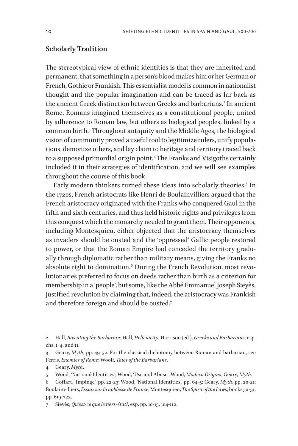#### <span id="page-10-0"></span>**Scholarly Tradition**

The stereotypical view of ethnic identities is that they are inherited and permanent, that something in a person's blood makes him or her German or French, Gothic or Frankish. This essentialist model is common in nationalist thought and the popular imagination and can be traced as far back as the ancient Greek distinction between Greeks and barbarians.<sup>2</sup> In ancient Rome, Romans imagined themselves as a constitutional people, united by adherence to Roman law, but others as biological peoples, linked by a common birth.3 Throughout antiquity and the Middle Ages, the biological vision of community proved a useful tool to legitimize rulers, unify populations, demonize others, and lay claim to heritage and territory traced back to a supposed primordial origin point.4 The Franks and Visigoths certainly included it in their strategies of identification, and we will see examples throughout the course of this book.

Early modern thinkers turned these ideas into scholarly theories.5 In the 1720s, French aristocrats like Henri de Boulainvilliers argued that the French aristocracy originated with the Franks who conquered Gaul in the fifth and sixth centuries, and thus held historic rights and privileges from this conquest which the monarchy needed to grant them. Their opponents, including Montesquieu, either objected that the aristocracy themselves as invaders should be ousted and the 'oppressed' Gallic people restored to power, or that the Roman Empire had conceded the territory gradually through diplomatic rather than military means, giving the Franks no absolute right to domination.6 During the French Revolution, most revolutionaries preferred to focus on deeds rather than birth as a criterion for membership in a 'people', but some, like the Abbé Emmanuel Joseph Sieyès, justified revolution by claiming that, indeed, the aristocracy was Frankish and therefore foreign and should be ousted.7

7 Sieyès, *Qu'est-ce que le tiers-état?*, esp. pp. 10-15, 104-112.

<sup>2</sup> Hall, *Inventing the Barbarian*; Hall, *Hellenicity*; Harrison (ed.), *Greeks and Barbarians*, esp. chs. 1, 4, and 11.

<sup>3</sup> Geary, *Myth*, pp. 49-52. For the classical dichotomy between Roman and barbarian, see Ferris, *Enemies of Rome*; Woolf, *Tales of the Barbarians*.

<sup>4</sup> Geary, *Myth*.

<sup>5</sup> Wood, 'National Identities'; Wood, 'Use and Abuse'; Wood, *Modern Origins*; Geary, *Myth.*

<sup>6</sup> Goffart, 'Impinge', pp. 22-23; Wood, 'National Identities', pp. 64-5; Geary, *Myth*, pp. 20-21; Boulainvilliers, *Essais sur la noblesse de France*; Montesquieu, *The Spirit of the Laws*, books 30-31, pp. 619-722.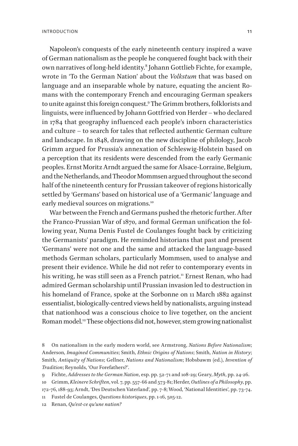Napoleon's conquests of the early nineteenth century inspired a wave of German nationalism as the people he conquered fought back with their own narratives of long-held identity.8 Johann Gottlieb Fichte, for example, wrote in 'To the German Nation' about the *Volkstum* that was based on language and an inseparable whole by nature, equating the ancient Romans with the contemporary French and encouraging German speakers to unite against this foreign conquest.9 The Grimm brothers, folklorists and linguists, were influenced by Johann Gottfried von Herder – who declared in 1784 that geography influenced each people's inborn characteristics and culture – to search for tales that reflected authentic German culture and landscape. In 1848, drawing on the new discipline of philology, Jacob Grimm argued for Prussia's annexation of Schleswig-Holstein based on a perception that its residents were descended from the early Germanic peoples. Ernst Moritz Arndt argued the same for Alsace-Lorraine, Belgium, and the Netherlands, and Theodor Mommsen argued throughout the second half of the nineteenth century for Prussian takeover of regions historically settled by 'Germans' based on historical use of a 'Germanic' language and early medieval sources on migrations.<sup>10</sup>

War between the French and Germans pushed the rhetoric further. After the Franco-Prussian War of 1870, and formal German unification the following year, Numa Denis Fustel de Coulanges fought back by criticizing the Germanists' paradigm. He reminded historians that past and present 'Germans' were not one and the same and attacked the language-based methods German scholars, particularly Mommsen, used to analyse and present their evidence. While he did not refer to contemporary events in his writing, he was still seen as a French patriot.<sup>11</sup> Ernest Renan, who had admired German scholarship until Prussian invasion led to destruction in his homeland of France, spoke at the Sorbonne on 11 March 1882 against essentialist, biologically-centred views held by nationalists, arguing instead that nationhood was a conscious choice to live together, on the ancient Roman model.12 These objections did not, however, stem growing nationalist

11 Fustel de Coulanges, *Questions historiques*, pp. 1-16, 505-12.

<sup>8</sup> On nationalism in the early modern world, see Armstrong, *Nations Before Nationalism*; Anderson, *Imagined Communities*; Smith, *Ethnic Origins of Nations*; Smith, *Nation in History*; Smith, *Antiquity of Nations*; Gellner, *Nations and Nationalism*; Hobsbawm (ed.), *Invention of Tradition*; Reynolds, 'Our Forefathers?'.

<sup>9</sup> Fichte, *Addresses to the German Nation*, esp. pp. 52-71 and 108-29; Geary, *Myth*, pp. 24-26.

<sup>10</sup> Grimm, *Kleinere Schriften*, vol. 7, pp. 557-66 and 573-81; Herder, *Outlines of a Philosophy*, pp.

<sup>172-76, 188-93;</sup> Arndt, 'Des Deutschen Vaterland', pp. 7-8; Wood, 'National Identities', pp. 73-74.

<sup>12</sup> Renan, *Qu'est-ce qu'une nation?*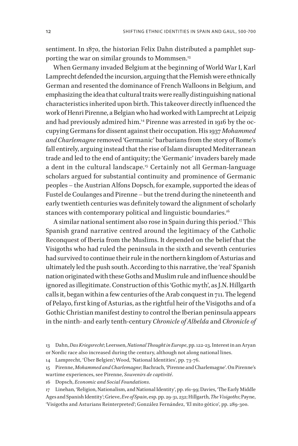sentiment. In 1870, the historian Felix Dahn distributed a pamphlet supporting the war on similar grounds to Mommsen.<sup>13</sup>

When Germany invaded Belgium at the beginning of World War I, Karl Lamprecht defended the incursion, arguing that the Flemish were ethnically German and resented the dominance of French Walloons in Belgium, and emphasizing the idea that cultural traits were really distinguishing national characteristics inherited upon birth. This takeover directly influenced the work of Henri Pirenne, a Belgian who had worked with Lamprecht at Leipzig and had previously admired him.<sup>14</sup> Pirenne was arrested in 1916 by the occupying Germans for dissent against their occupation. His 1937 *Mohammed and Charlemagne* removed 'Germanic' barbarians from the story of Rome's fall entirely, arguing instead that the rise of Islam disrupted Mediterranean trade and led to the end of antiquity; the 'Germanic' invaders barely made a dent in the cultural landscape.<sup>15</sup> Certainly not all German-language scholars argued for substantial continuity and prominence of Germanic peoples – the Austrian Alfons Dopsch, for example, supported the ideas of Fustel de Coulanges and Pirenne – but the trend during the nineteenth and early twentieth centuries was definitely toward the alignment of scholarly stances with contemporary political and linguistic boundaries.<sup>16</sup>

A similar national sentiment also rose in Spain during this period.17 This Spanish grand narrative centred around the legitimacy of the Catholic Reconquest of Iberia from the Muslims. It depended on the belief that the Visigoths who had ruled the peninsula in the sixth and seventh centuries had survived to continue their rule in the northern kingdom of Asturias and ultimately led the push south. According to this narrative, the 'real' Spanish nation originated with these Goths and Muslim rule and influence should be ignored as illegitimate. Construction of this 'Gothic myth', as J.N. Hillgarth calls it, began within a few centuries of the Arab conquest in 711. The legend of Pelayo, first king of Asturias, as the rightful heir of the Visigoths and of a Gothic Christian manifest destiny to control the Iberian peninsula appears in the ninth- and early tenth-century *Chronicle of Albelda* and *Chronicle of* 

16 Dopsch, *Economic and Social Foundations*.

17 Linehan, 'Religion, Nationalism, and National Identity', pp. 161-99; Davies, 'The Early Middle Ages and Spanish Identity'; Grieve, *Eve of Spain*, esp. pp. 29-31, 232; Hillgarth, *The Visigoths*; Payne, 'Visigoths and Asturians Reinterpreted'; González Fernández, 'El mito gótico', pp. 289-300.

<sup>13</sup> Dahn, *Das Kriegsrecht*; Leerssen, *National Thought in Europe*, pp. 122-23. Interest in an Aryan or Nordic race also increased during the century, although not along national lines.

<sup>14</sup> Lamprecht, 'Über Belgien'; Wood, 'National Identities', pp. 73-76.

<sup>15</sup> Pirenne, *Mohammed and Charlemagne*; Bachrach, 'Pirenne and Charlemagne'. On Pirenne's wartime experiences, see Pirenne, *Souvenirs de captivité*.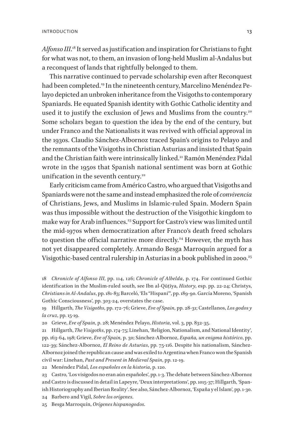*Alfonso III*. 18 It served as justification and inspiration for Christians to fight for what was not, to them, an invasion of long-held Muslim al-Andalus but a reconquest of lands that rightfully belonged to them.

This narrative continued to pervade scholarship even after Reconquest had been completed.<sup>19</sup> In the nineteenth century, Marcelino Menéndez Pelayo depicted an unbroken inheritance from the Visigoths to contemporary Spaniards. He equated Spanish identity with Gothic Catholic identity and used it to justify the exclusion of Jews and Muslims from the country.<sup>20</sup> Some scholars began to question the idea by the end of the century, but under Franco and the Nationalists it was revived with official approval in the 1930s. Claudio Sánchez-Albornoz traced Spain's origins to Pelayo and the remnants of the Visigoths in Christian Asturias and insisted that Spain and the Christian faith were intrinsically linked.<sup>21</sup> Ramón Menéndez Pidal wrote in the 1950s that Spanish national sentiment was born at Gothic unification in the seventh century.<sup>22</sup>

Early criticism came from Américo Castro, who argued that Visigoths and Spaniards were not the same and instead emphasized the role of *convivencia* of Christians, Jews, and Muslims in Islamic-ruled Spain. Modern Spain was thus impossible without the destruction of the Visigothic kingdom to make way for Arab influences.<sup>23</sup> Support for Castro's view was limited until the mid-1970s when democratization after Franco's death freed scholars to question the official narrative more directly.<sup>24</sup> However, the myth has not yet disappeared completely. Armando Besga Marroquín argued for a Visigothic-based central rulership in Asturias in a book published in 2000.<sup>25</sup>

18 *Chronicle of Alfonso III*, pp. 114, 126; *Chronicle of Albelda*, p. 174. For continued Gothic identification in the Muslim-ruled south, see Ibn al-Qūṭīya, *History*, esp. pp. 22-24; Christys, *Christians in Al-Andalus*, pp. 181-83; Barceló, 'Els "Hispani"', pp. 189-90. García Moreno, 'Spanish Gothic Consciousness', pp. 303-24, overstates the case.

19 Hillgarth, *The Visigoths*, pp. 172-76; Grieve, *Eve of Spain*, pp. 28-31; Castellanos, *Los godos y la cruz*, pp. 15-19.

20 Grieve, *Eve of Spain*, p. 28; Menéndez Pelayo, *Historia*, vol. 3, pp. 832-35.

21 Hillgarth, *The Visigoths*, pp. 174-75; Linehan, 'Religion, Nationalism, and National Identity', pp. 163-64, 198; Grieve, *Eve of Spain*, p. 30; Sánchez-Albornoz, *España, un enigma histórico*, pp. 122-39; Sánchez-Albornoz, *El Reino de Asturias*, pp. 75-116. Despite his nationalism, Sánchez-Albornoz joined the republican cause and was exiled to Argentina when Franco won the Spanish civil war: Linehan, *Past and Present in Medieval Spain*, pp. 12-19.

22 Menéndez Pidal*, Los españoles en la historia*, p. 120.

23 Castro, 'Los visigodos no eran aún españoles', pp. 1-3. The debate between Sánchez-Albornoz and Castro is discussed in detail in Lapeyre, 'Deux interpretations', pp. 1015-37; Hillgarth, 'Spanish Historiography and Iberian Reality'. See also, Sánchez-Albornoz, 'España y el Islam', pp. 1-30.

24 Barbero and Vigil, *Sobre los orígenes*.

25 Besga Marroquín, *Orígenes hispanogodos*.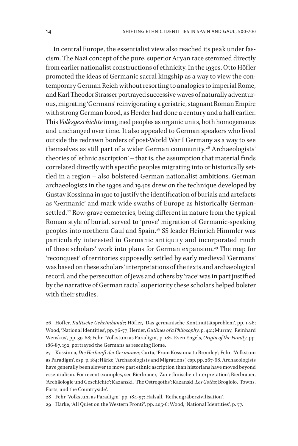In central Europe, the essentialist view also reached its peak under fascism. The Nazi concept of the pure, superior Aryan race stemmed directly from earlier nationalist constructions of ethnicity. In the 1930s, Otto Höfler promoted the ideas of Germanic sacral kingship as a way to view the contemporary German Reich without resorting to analogies to imperial Rome, and Karl Theodor Strasser portrayed successive waves of naturally adventurous, migrating 'Germans' reinvigorating a geriatric, stagnant Roman Empire with strong German blood, as Herder had done a century and a half earlier. This *Volksgeschichte* imagined peoples as organic units, both homogeneous and unchanged over time. It also appealed to German speakers who lived outside the redrawn borders of post-World War I Germany as a way to see themselves as still part of a wider German community.<sup>26</sup> Archaeologists' theories of 'ethnic ascription' – that is, the assumption that material finds correlated directly with specific peoples migrating into or historically settled in a region – also bolstered German nationalist ambitions. German archaeologists in the 1930s and 1940s drew on the technique developed by Gustav Kossinna in 1910 to justify the identification of burials and artefacts as 'Germanic' and mark wide swaths of Europe as historically Germansettled.<sup>27</sup> Row-grave cemeteries, being different in nature from the typical Roman style of burial, served to 'prove' migration of Germanic-speaking peoples into northern Gaul and Spain.28 SS leader Heinrich Himmler was particularly interested in Germanic antiquity and incorporated much of these scholars' work into plans for German expansion.<sup>29</sup> The map for 'reconquest' of territories supposedly settled by early medieval 'Germans' was based on these scholars' interpretations of the texts and archaeological record, and the persecution of Jews and others by 'race' was in part justified by the narrative of German racial superiority these scholars helped bolster with their studies.

27 Kossinna, *Die Herkunft der Germanen*; Curta, 'From Kossinna to Bromley'; Fehr, 'Volkstum as Paradigm', esp. p. 184; Härke, 'Archaeologists and Migrations', esp. pp. 267-68. Archaeologists have generally been slower to move past ethnic ascription than historians have moved beyond essentialism. For recent examples, see Bierbrauer, 'Zur ethnischen Interpretation'; Bierbrauer, 'Archäologie und Geschichte'; Kazanski, 'The Ostrogoths'; Kazanski, *Les Goths*; Brogiolo, 'Towns, Forts, and the Countryside'.

28 Fehr 'Volkstum as Paradigm', pp. 184-97; Halsall, 'Reihengräberzivilisation'.

29 Härke, 'All Quiet on the Western Front?', pp. 205-6; Wood, 'National Identities', p. 77.

<sup>26</sup> Höfler, *Kultische Geheimbünde*; Höfler, 'Das germanische Kontinuitätsproblem', pp. 1-26; Wood, 'National Identities', pp. 76-77; Herder, *Outlines of a Philosophy*, p. 421; Murray, 'Reinhard Wenskus', pp. 39-68; Fehr, 'Volkstum as Paradigm', p. 182. Even Engels, *Origin of the Family*, pp. 186-87, 192, portrayed the Germans as rescuing Rome.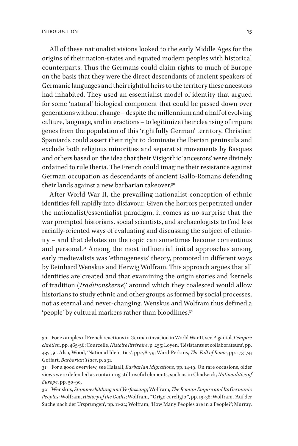All of these nationalist visions looked to the early Middle Ages for the origins of their nation-states and equated modern peoples with historical counterparts. Thus the Germans could claim rights to much of Europe on the basis that they were the direct descendants of ancient speakers of Germanic languages and their rightful heirs to the territory these ancestors had inhabited. They used an essentialist model of identity that argued for some 'natural' biological component that could be passed down over generations without change – despite the millennium and a half of evolving culture, language, and interactions – to legitimize their cleansing of impure genes from the population of this 'rightfully German' territory. Christian Spaniards could assert their right to dominate the Iberian peninsula and exclude both religious minorities and separatist movements by Basques and others based on the idea that their Visigothic 'ancestors' were divinely ordained to rule Iberia. The French could imagine their resistance against German occupation as descendants of ancient Gallo-Romans defending their lands against a new barbarian takeover.<sup>30</sup>

After World War II, the prevailing nationalist conception of ethnic identities fell rapidly into disfavour. Given the horrors perpetrated under the nationalist/essentialist paradigm, it comes as no surprise that the war prompted historians, social scientists, and archaeologists to find less racially-oriented ways of evaluating and discussing the subject of ethnicity – and that debates on the topic can sometimes become contentious and personal.<sup>31</sup> Among the most influential initial approaches among early medievalists was 'ethnogenesis' theory, promoted in different ways by Reinhard Wenskus and Herwig Wolfram. This approach argues that all identities are created and that examining the origin stories and 'kernels of tradition (*Traditionskerne*)' around which they coalesced would allow historians to study ethnic and other groups as formed by social processes, not as eternal and never-changing. Wenskus and Wolfram thus defined a 'people' by cultural markers rather than bloodlines.<sup>32</sup>

<sup>30</sup> For examples of French reactions to German invasion in World War II, see Piganiol, *L'empire chrétien*, pp. 465-56; Courcelle, *Histoire littéraire*, p. 255; Loyen, 'Résistants et collaborateurs', pp. 437-50. Also, Wood, 'National Identities', pp. 78-79; Ward-Perkins, *The Fall of Rome*, pp. 173-74; Goffart, *Barbarian Tides*, p. 231.

<sup>31</sup> For a good overview, see Halsall, *Barbarian Migrations*, pp. 14-19. On rare occasions, older views were defended as containing still-useful elements, such as in Chadwick, *Nationalities of Europe*, pp. 50-90.

<sup>32</sup> Wenskus, *Stammesbildung und Verfassung*; Wolfram, *The Roman Empire and Its Germanic Peoples*; Wolfram, *History of the Goths*; Wolfram, '"Origo et religio"', pp. 19-38; Wolfram, 'Auf der Suche nach der Ursprüngen', pp. 11-22; Wolfram, 'How Many Peoples are in a People?'; Murray,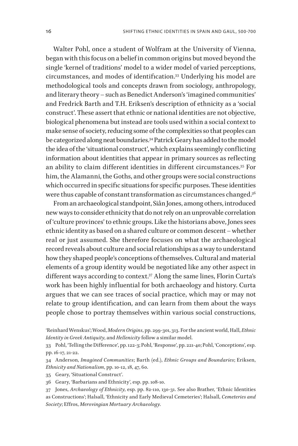Walter Pohl, once a student of Wolfram at the University of Vienna, began with this focus on a belief in common origins but moved beyond the single 'kernel of traditions' model to a wider model of varied perceptions, circumstances, and modes of identification.33 Underlying his model are methodological tools and concepts drawn from sociology, anthropology, and literary theory – such as Benedict Anderson's 'imagined communities' and Fredrick Barth and T.H. Eriksen's description of ethnicity as a 'social construct'. These assert that ethnic or national identities are not objective, biological phenomena but instead are tools used within a social context to make sense of society, reducing some of the complexities so that peoples can be categorized along neat boundaries.34 Patrick Geary has added to the model the idea of the 'situational construct', which explains seemingly conflicting information about identities that appear in primary sources as reflecting an ability to claim different identities in different circumstances.35 For him, the Alamanni, the Goths, and other groups were social constructions which occurred in specific situations for specific purposes. These identities were thus capable of constant transformation as circumstances changed.<sup>36</sup>

From an archaeological standpoint, Siân Jones, among others, introduced new ways to consider ethnicity that do not rely on an unprovable correlation of 'culture provinces' to ethnic groups. Like the historians above, Jones sees ethnic identity as based on a shared culture or common descent – whether real or just assumed. She therefore focuses on what the archaeological record reveals about culture and social relationships as a way to understand how they shaped people's conceptions of themselves. Cultural and material elements of a group identity would be negotiated like any other aspect in different ways according to context.37 Along the same lines, Florin Curta's work has been highly influential for both archaeology and history. Curta argues that we can see traces of social practice, which may or may not relate to group identification, and can learn from them about the ways people chose to portray themselves within various social constructions,

34 Anderson, *Imagined Communities*; Barth (ed.), *Ethnic Groups and Boundaries*; Eriksen, *Ethnicity and Nationalism*, pp. 10-12, 18, 47, 60.

35 Geary, 'Situational Construct'.

36 Geary, 'Barbarians and Ethnicity', esp. pp. 108-10.

<sup>&#</sup>x27;Reinhard Wenskus'; Wood, *Modern Origins*, pp. 299-301, 313. For the ancient world, Hall, *Ethnic Identity in Greek Antiquity*, and *Hellenicity* follow a similar model.

<sup>33</sup> Pohl, 'Telling the Difference', pp. 122-3; Pohl, 'Response', pp. 221-40; Pohl, 'Conceptions', esp. pp. 16-17, 21-22.

<sup>37</sup> Jones, *Archaeology of Ethnicity*, esp. pp. 82-110, 130-31. See also Brather, 'Ethnic Identities as Constructions'; Halsall, 'Ethnicity and Early Medieval Cemeteries'; Halsall, *Cemeteries and Society*; Effros, *Merovingian Mortuary Archaeology*.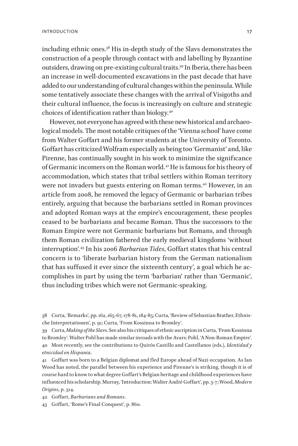including ethnic ones.38 His in-depth study of the Slavs demonstrates the construction of a people through contact with and labelling by Byzantine outsiders, drawing on pre-existing cultural traits.39 In Iberia, there has been an increase in well-documented excavations in the past decade that have added to our understanding of cultural changes within the peninsula. While some tentatively associate these changes with the arrival of Visigoths and their cultural influence, the focus is increasingly on culture and strategic choices of identification rather than biology.40

However, not everyone has agreed with these new historical and archaeological models. The most notable critiques of the 'Vienna school' have come from Walter Goffart and his former students at the University of Toronto. Goffart has criticized Wolfram especially as being too 'Germanist' and, like Pirenne, has continually sought in his work to minimize the significance of Germanic incomers on the Roman world.41 He is famous for his theory of accommodation, which states that tribal settlers within Roman territory were not invaders but guests entering on Roman terms.<sup>42</sup> However, in an article from 2008, he removed the legacy of Germanic or barbarian tribes entirely, arguing that because the barbarians settled in Roman provinces and adopted Roman ways at the empire's encouragement, these peoples ceased to be barbarians and became Roman. Thus the successors to the Roman Empire were not Germanic barbarians but Romans, and through them Roman civilization fathered the early medieval kingdoms 'without interruption'.43 In his 2006 *Barbarian Tides*, Goffart states that his central concern is to 'liberate barbarian history from the German nationalism that has suffused it ever since the sixteenth century', a goal which he accomplishes in part by using the term 'barbarian' rather than 'Germanic', thus including tribes which were not Germanic-speaking.

42 Goffart, *Barbarians and Romans*.

<sup>38</sup> Curta, 'Remarks', pp. 162, 165-67, 178-81, 184-85; Curta, 'Review of Sebastian Brather, Ethnische Interpretationen', p. 91; Curta, 'From Kossinna to Bromley'.

<sup>39</sup> Curta, *Making of the Slavs*. See also his critiques of ethnic ascription in Curta, 'From Kossinna to Bromley'. Walter Pohl has made similar inroads with the Avars: Pohl, 'A Non-Roman Empire'. 40 Most recently, see the contributions to Quirós Castillo and Castellanos (eds.), *Identidad y etnicidad en Hispania*.

<sup>41</sup> Goffart was born to a Belgian diplomat and fled Europe ahead of Nazi occupation. As Ian Wood has noted, the parallel between his experience and Pirenne's is striking, though it is of course hard to know to what degree Goffart's Belgian heritage and childhood experiences have influenced his scholarship. Murray, 'Introduction: Walter André Goffart', pp. 3-7; Wood, *Modern Origins*, p. 314.

<sup>43</sup> Goffart, 'Rome's Final Conquest', p. 860.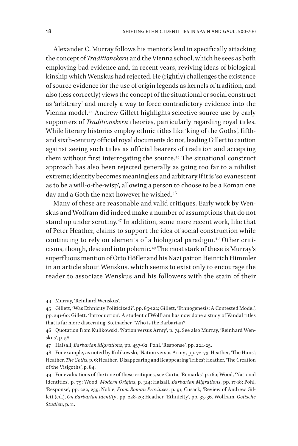Alexander C. Murray follows his mentor's lead in specifically attacking the concept of *Traditionskern* and the Vienna school, which he sees as both employing bad evidence and, in recent years, reviving ideas of biological kinship which Wenskus had rejected. He (rightly) challenges the existence of source evidence for the use of origin legends as kernels of tradition, and also (less correctly) views the concept of the situational or social construct as 'arbitrary' and merely a way to force contradictory evidence into the Vienna model.44 Andrew Gillett highlights selective source use by early supporters of *Traditionskern* theories, particularly regarding royal titles. While literary histories employ ethnic titles like 'king of the Goths', fifthand sixth-century official royal documents do not, leading Gillett to caution against seeing such titles as official bearers of tradition and accepting them without first interrogating the source.<sup>45</sup> The situational construct approach has also been rejected generally as going too far to a nihilist extreme; identity becomes meaningless and arbitrary if it is 'so evanescent as to be a will-o-the-wisp', allowing a person to choose to be a Roman one day and a Goth the next however he wished.<sup>46</sup>

Many of these are reasonable and valid critiques. Early work by Wenskus and Wolfram did indeed make a number of assumptions that do not stand up under scrutiny.<sup>47</sup> In addition, some more recent work, like that of Peter Heather, claims to support the idea of social construction while continuing to rely on elements of a biological paradigm.<sup>48</sup> Other criticisms, though, descend into polemic.49 The most stark of these is Murray's superfluous mention of Otto Höfler and his Nazi patron Heinrich Himmler in an article about Wenskus, which seems to exist only to encourage the reader to associate Wenskus and his followers with the stain of their

44 Murray, 'Reinhard Wenskus'.

45 Gillett, 'Was Ethnicity Politicized?', pp. 85-122; Gillett, 'Ethnogenesis: A Contested Model', pp. 241-60; Gillett, 'Introduction'. A student of Wolfram has now done a study of Vandal titles that is far more discerning: Steinacher, 'Who is the Barbarian?'

46 Quotation from Kulikowski, 'Nation versus Army', p. 74. See also Murray, 'Reinhard Wenskus', p. 58.

47 Halsall, *Barbarian Migrations*, pp. 457-62; Pohl, 'Response', pp. 224-25.

48 For example, as noted by Kulikowski, 'Nation versus Army', pp. 72-73: Heather, 'The Huns'; Heather, *The Goths*, p. 6; Heather, 'Disappearing and Reappearing Tribes'; Heather, 'The Creation of the Visigoths', p. 84.

49 For evaluations of the tone of these critiques, see Curta, 'Remarks', p. 160; Wood, 'National Identities', p. 79; Wood, *Modern Origins*, p. 314; Halsall, *Barbarian Migrations*, pp. 17-18; Pohl, 'Response', pp. 222, 239; Noble, *From Roman Provinces*, p. 91; Cusack, 'Review of Andrew Gillett (ed.), *On Barbarian Identity*', pp. 228-29; Heather, 'Ethnicity', pp. 33-36. Wolfram, *Gotische Studien*, p. 11.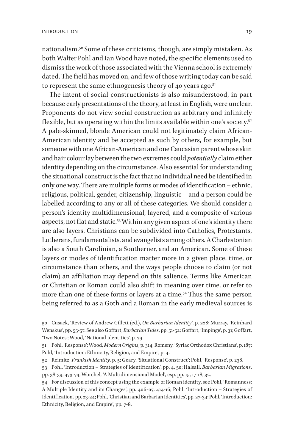nationalism.50 Some of these criticisms, though, are simply mistaken. As both Walter Pohl and Ian Wood have noted, the specific elements used to dismiss the work of those associated with the Vienna school is extremely dated. The field has moved on, and few of those writing today can be said to represent the same ethnogenesis theory of 40 years ago.<sup>51</sup>

The intent of social constructionists is also misunderstood, in part because early presentations of the theory, at least in English, were unclear. Proponents do not view social construction as arbitrary and infinitely flexible, but as operating within the limits available within one's society.<sup>52</sup> A pale-skinned, blonde American could not legitimately claim African-American identity and be accepted as such by others, for example, but someone with one African-American and one Caucasian parent whose skin and hair colour lay between the two extremes could *potentially* claim either identity depending on the circumstance. Also essential for understanding the situational construct is the fact that no individual need be identified in only one way. There are multiple forms or modes of identification – ethnic, religious, political, gender, citizenship, linguistic – and a person could be labelled according to any or all of these categories. We should consider a person's identity multidimensional, layered, and a composite of various aspects, not flat and static.53 Within any given aspect of one's identity there are also layers. Christians can be subdivided into Catholics, Protestants, Lutherans, fundamentalists, and evangelists among others. A Charlestonian is also a South Carolinian, a Southerner, and an American. Some of these layers or modes of identification matter more in a given place, time, or circumstance than others, and the ways people choose to claim (or not claim) an affiliation may depend on this salience. Terms like American or Christian or Roman could also shift in meaning over time, or refer to more than one of these forms or layers at a time.54 Thus the same person being referred to as a Goth and a Roman in the early medieval sources is

52 Reimitz, *Frankish Identity*, p. 5; Geary, 'Situational Construct'; Pohl, 'Response', p. 238.

<sup>50</sup> Cusack, 'Review of Andrew Gillett (ed.), *On Barbarian Identity*', p. 228; Murray, 'Reinhard Wenskus', pp. 55-57. See also Goffart, *Barbarian Tides*, pp. 51-52; Goffart, 'Impinge', p. 31; Goffart, 'Two Notes'; Wood, 'National Identities', p. 79.

<sup>51</sup> Pohl, 'Response'; Wood, *Modern Origins*, p. 314; Romeny, 'Syriac Orthodox Christians', p. 187; Pohl, 'Introduction: Ethnicity, Religion, and Empire', p. 4.

<sup>53</sup> Pohl, 'Introduction – Strategies of Identification', pp. 4, 50; Halsall, *Barbarian Migrations*, pp. 38-39, 473-74; Worchel, 'A Multidimensional Model', esp. pp. 15, 17-18, 32.

<sup>54</sup> For discussion of this concept using the example of Roman identity, see Pohl, 'Romanness: A Multiple Identity and its Changes', pp. 406-07, 414-16; Pohl, 'Introduction – Strategies of Identification', pp. 23-24; Pohl, 'Christian and Barbarian Identities', pp. 27-34; Pohl, 'Introduction: Ethnicity, Religion, and Empire', pp. 7-8.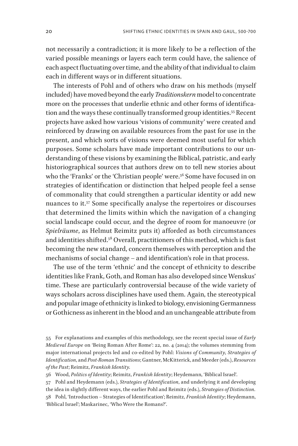not necessarily a contradiction; it is more likely to be a reflection of the varied possible meanings or layers each term could have, the salience of each aspect fluctuating over time, and the ability of that individual to claim each in different ways or in different situations.

The interests of Pohl and of others who draw on his methods (myself included) have moved beyond the early *Traditionskern* model to concentrate more on the processes that underlie ethnic and other forms of identification and the ways these continually transformed group identities.<sup>55</sup> Recent projects have asked how various 'visions of community' were created and reinforced by drawing on available resources from the past for use in the present, and which sorts of visions were deemed most useful for which purposes. Some scholars have made important contributions to our understanding of these visions by examining the Biblical, patristic, and early historiographical sources that authors drew on to tell new stories about who the 'Franks' or the 'Christian people' were.<sup>56</sup> Some have focused in on strategies of identification or distinction that helped people feel a sense of commonality that could strengthen a particular identity or add new nuances to it.57 Some specifically analyse the repertoires or discourses that determined the limits within which the navigation of a changing social landscape could occur, and the degree of room for manoeuvre (or *Spielräume*, as Helmut Reimitz puts it) afforded as both circumstances and identities shifted.58 Overall, practitioners of this method, which is fast becoming the new standard, concern themselves with perception and the mechanisms of social change – and identification's role in that process.

The use of the term 'ethnic' and the concept of ethnicity to describe identities like Frank, Goth, and Roman has also developed since Wenskus' time. These are particularly controversial because of the wide variety of ways scholars across disciplines have used them. Again, the stereotypical and popular image of ethnicity is linked to biology, envisioning Germanness or Gothicness as inherent in the blood and an unchangeable attribute from

56 Wood, *Politics of Identity*; Reimitz, *Frankish Identity*; Heydemann, 'Biblical Israel'.

57 Pohl and Heydemann (eds.), *Strategies of Identification*, and underlying it and developing the idea in slightly different ways, the earlier Pohl and Reimitz (eds.), *Strategies of Distinction*. 58 Pohl, 'Introduction – Strategies of Identification'; Reimitz, *Frankish Identity*; Heydemann,

'Biblical Israel'; Maskarinec, 'Who Were the Romans?'.

<sup>55</sup> For explanations and examples of this methodology, see the recent special issue of *Early Medieval Europe* on 'Being Roman After Rome': 22, no. 4 (2014); the volumes stemming from major international projects led and co-edited by Pohl: *Visions of Community*, *Strategies of Identification*, and *Post-Roman Transitions*; Gantner, McKitterick, and Meeder (eds.), *Resources of the Past*; Reimitz, *Frankish Identity*.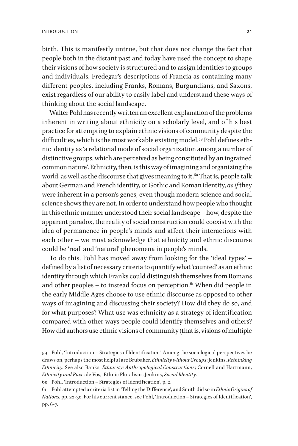birth. This is manifestly untrue, but that does not change the fact that people both in the distant past and today have used the concept to shape their visions of how society is structured and to assign identities to groups and individuals. Fredegar's descriptions of Francia as containing many different peoples, including Franks, Romans, Burgundians, and Saxons, exist regardless of our ability to easily label and understand these ways of thinking about the social landscape.

Walter Pohl has recently written an excellent explanation of the problems inherent in writing about ethnicity on a scholarly level, and of his best practice for attempting to explain ethnic visions of community despite the difficulties, which is the most workable existing model.<sup>59</sup> Pohl defines ethnic identity as 'a relational mode of social organization among a number of distinctive groups, which are perceived as being constituted by an ingrained common nature'. Ethnicity, then, is this way of imagining and organizing the world, as well as the discourse that gives meaning to it.<sup>60</sup> That is, people talk about German and French identity, or Gothic and Roman identity, *as if* they were inherent in a person's genes, even though modern science and social science shows they are not. In order to understand how people who thought in this ethnic manner understood their social landscape – how, despite the apparent paradox, the reality of social construction could coexist with the idea of permanence in people's minds and affect their interactions with each other – we must acknowledge that ethnicity and ethnic discourse could be 'real' and 'natural' phenomena in people's minds.

To do this, Pohl has moved away from looking for the 'ideal types' – defined by a list of necessary criteria to quantify what 'counted' as an ethnic identity through which Franks could distinguish themselves from Romans and other peoples – to instead focus on perception. $61$  When did people in the early Middle Ages choose to use ethnic discourse as opposed to other ways of imagining and discussing their society? How did they do so, and for what purposes? What use was ethnicity as a strategy of identification compared with other ways people could identify themselves and others? How did authors use ethnic visions of community (that is, visions of multiple

59 Pohl, 'Introduction – Strategies of Identification'. Among the sociological perspectives he draws on, perhaps the most helpful are Brubaker, *Ethnicity without Groups*; Jenkins, *Rethinking Ethnicity*. See also Banks, *Ethnicity: Anthropological Constructions*; Cornell and Hartmann, *Ethnicity and Race*; de Vos, 'Ethnic Pluralism'; Jenkins, *Social Identity*.

60 Pohl, 'Introduction – Strategies of Identification', p. 2.

61 Pohl attempted a criteria list in 'Telling the Difference', and Smith did so in *Ethnic Origins of Nations*, pp. 22-30. For his current stance, see Pohl, 'Introduction – Strategies of Identification', pp. 6-7.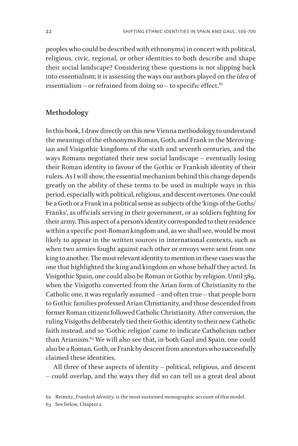<span id="page-22-0"></span>peoples who could be described with ethnonyms) in concert with political, religious, civic, regional, or other identities to both describe and shape their social landscape? Considering these questions is not slipping back into essentialism; it is assessing the ways our authors played on the *idea* of essentialism – or refrained from doing so – to specific effect. $62$ 

#### **Methodology**

In this book, I draw directly on this new Vienna methodology to understand the meanings of the ethnonyms Roman, Goth, and Frank in the Merovingian and Visigothic kingdoms of the sixth and seventh centuries, and the ways Romans negotiated their new social landscape – eventually losing their Roman identity in favour of the Gothic or Frankish identity of their rulers. As I will show, the essential mechanism behind this change depends greatly on the ability of these terms to be used in multiple ways in this period, especially with political, religious, and descent overtones. One could be a Goth or a Frank in a political sense as subjects of the 'kings of the Goths/ Franks', as officials serving in their government, or as soldiers fighting for their army. This aspect of a person's identity corresponded to their residence within a specific post-Roman kingdom and, as we shall see, would be most likely to appear in the written sources in international contexts, such as when two armies fought against each other or envoys were sent from one king to another. The most relevant identity to mention in these cases was the one that highlighted the king and kingdom on whose behalf they acted. In Visigothic Spain, one could also be Roman or Gothic by religion. Until 589, when the Visigoths converted from the Arian form of Christianity to the Catholic one, it was regularly assumed – and often true – that people born to Gothic families professed Arian Christianity, and those descended from former Roman citizens followed Catholic Christianity. After conversion, the ruling Visigoths deliberately tied their Gothic identity to their new Catholic faith instead, and so 'Gothic religion' came to indicate Catholicism rather than Arianism.63 We will also see that, in both Gaul and Spain, one could also be a Roman, Goth, or Frank by descent from ancestors who successfully claimed these identities.

All three of these aspects of identity – political, religious, and descent – could overlap, and the ways they did so can tell us a great deal about

<sup>62</sup> Reimitz, *Frankish Identity*, is the most sustained monographic account of this model.

<sup>63</sup> See below, Chapter 2.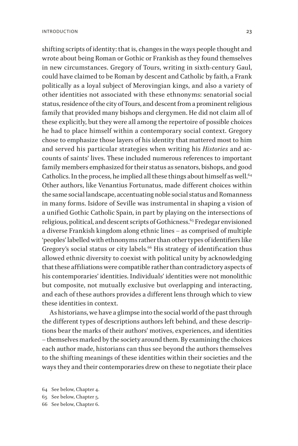shifting scripts of identity: that is, changes in the ways people thought and wrote about being Roman or Gothic or Frankish as they found themselves in new circumstances. Gregory of Tours, writing in sixth-century Gaul, could have claimed to be Roman by descent and Catholic by faith, a Frank politically as a loyal subject of Merovingian kings, and also a variety of other identities not associated with these ethnonyms: senatorial social status, residence of the city of Tours, and descent from a prominent religious family that provided many bishops and clergymen. He did not claim all of these explicitly, but they were all among the repertoire of possible choices he had to place himself within a contemporary social context. Gregory chose to emphasize those layers of his identity that mattered most to him and served his particular strategies when writing his *Histories* and accounts of saints' lives. These included numerous references to important family members emphasized for their status as senators, bishops, and good Catholics. In the process, he implied all these things about himself as well.<sup>64</sup> Other authors, like Venantius Fortunatus, made different choices within the same social landscape, accentuating noble social status and Romanness in many forms. Isidore of Seville was instrumental in shaping a vision of a unified Gothic Catholic Spain, in part by playing on the intersections of religious, political, and descent scripts of Gothicness.<sup>65</sup> Fredegar envisioned a diverse Frankish kingdom along ethnic lines – as comprised of multiple 'peoples' labelled with ethnonyms rather than other types of identifiers like Gregory's social status or city labels.<sup>66</sup> His strategy of identification thus allowed ethnic diversity to coexist with political unity by acknowledging that these affiliations were compatible rather than contradictory aspects of his contemporaries' identities. Individuals' identities were not monolithic but composite, not mutually exclusive but overlapping and interacting, and each of these authors provides a different lens through which to view these identities in context.

As historians, we have a glimpse into the social world of the past through the different types of descriptions authors left behind, and these descriptions bear the marks of their authors' motives, experiences, and identities – themselves marked by the society around them. By examining the choices each author made, historians can thus see beyond the authors themselves to the shifting meanings of these identities within their societies and the ways they and their contemporaries drew on these to negotiate their place

<sup>64</sup> See below, Chapter 4.

<sup>65</sup> See below, Chapter 5.

<sup>66</sup> See below, Chapter 6.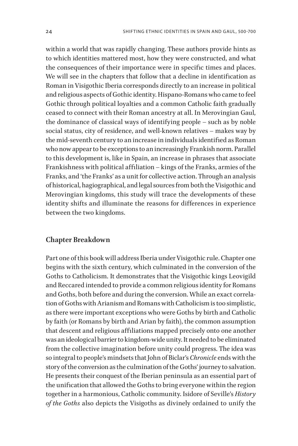<span id="page-24-0"></span>within a world that was rapidly changing. These authors provide hints as to which identities mattered most, how they were constructed, and what the consequences of their importance were in specific times and places. We will see in the chapters that follow that a decline in identification as Roman in Visigothic Iberia corresponds directly to an increase in political and religious aspects of Gothic identity. Hispano-Romans who came to feel Gothic through political loyalties and a common Catholic faith gradually ceased to connect with their Roman ancestry at all. In Merovingian Gaul, the dominance of classical ways of identifying people – such as by noble social status, city of residence, and well-known relatives – makes way by the mid-seventh century to an increase in individuals identified as Roman who now appear to be exceptions to an increasingly Frankish norm. Parallel to this development is, like in Spain, an increase in phrases that associate Frankishness with political affiliation – kings of the Franks, armies of the Franks, and 'the Franks' as a unit for collective action. Through an analysis of historical, hagiographical, and legal sources from both the Visigothic and Merovingian kingdoms, this study will trace the developments of these identity shifts and illuminate the reasons for differences in experience between the two kingdoms.

#### **Chapter Breakdown**

Part one of this book will address Iberia under Visigothic rule. Chapter one begins with the sixth century, which culminated in the conversion of the Goths to Catholicism. It demonstrates that the Visigothic kings Leovigild and Reccared intended to provide a common religious identity for Romans and Goths, both before and during the conversion. While an exact correlation of Goths with Arianism and Romans with Catholicism is too simplistic, as there were important exceptions who were Goths by birth and Catholic by faith (or Romans by birth and Arian by faith), the common assumption that descent and religious affiliations mapped precisely onto one another was an ideological barrier to kingdom-wide unity. It needed to be eliminated from the collective imagination before unity could progress. The idea was so integral to people's mindsets that John of Biclar's *Chronicle* ends with the story of the conversion as the culmination of the Goths' journey to salvation. He presents their conquest of the Iberian peninsula as an essential part of the unification that allowed the Goths to bring everyone within the region together in a harmonious, Catholic community. Isidore of Seville's *History of the Goths* also depicts the Visigoths as divinely ordained to unify the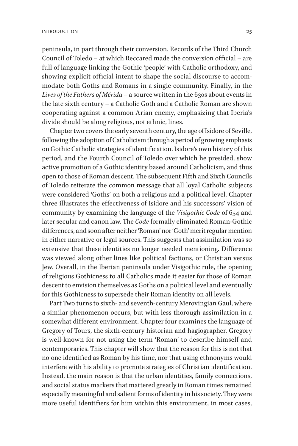peninsula, in part through their conversion. Records of the Third Church Council of Toledo – at which Reccared made the conversion official – are full of language linking the Gothic 'people' with Catholic orthodoxy, and showing explicit official intent to shape the social discourse to accommodate both Goths and Romans in a single community. Finally, in the *Lives of the Fathers of Mérida* – a source written in the 630s about events in the late sixth century – a Catholic Goth and a Catholic Roman are shown cooperating against a common Arian enemy, emphasizing that Iberia's divide should be along religious, not ethnic, lines.

Chapter two covers the early seventh century, the age of Isidore of Seville, following the adoption of Catholicism through a period of growing emphasis on Gothic Catholic strategies of identification. Isidore's own history of this period, and the Fourth Council of Toledo over which he presided, show active promotion of a Gothic identity based around Catholicism, and thus open to those of Roman descent. The subsequent Fifth and Sixth Councils of Toledo reiterate the common message that all loyal Catholic subjects were considered 'Goths' on both a religious and a political level. Chapter three illustrates the effectiveness of Isidore and his successors' vision of community by examining the language of the *Visigothic Code* of 654 and later secular and canon law. The *Code* formally eliminated Roman-Gothic differences, and soon after neither 'Roman' nor 'Goth' merit regular mention in either narrative or legal sources. This suggests that assimilation was so extensive that these identities no longer needed mentioning. Difference was viewed along other lines like political factions, or Christian versus Jew. Overall, in the Iberian peninsula under Visigothic rule, the opening of religious Gothicness to all Catholics made it easier for those of Roman descent to envision themselves as Goths on a political level and eventually for this Gothicness to supersede their Roman identity on all levels.

Part Two turns to sixth- and seventh-century Merovingian Gaul, where a similar phenomenon occurs, but with less thorough assimilation in a somewhat different environment. Chapter four examines the language of Gregory of Tours, the sixth-century historian and hagiographer. Gregory is well-known for not using the term 'Roman' to describe himself and contemporaries. This chapter will show that the reason for this is not that no one identified as Roman by his time, nor that using ethnonyms would interfere with his ability to promote strategies of Christian identification. Instead, the main reason is that the urban identities, family connections, and social status markers that mattered greatly in Roman times remained especially meaningful and salient forms of identity in his society. They were more useful identifiers for him within this environment, in most cases,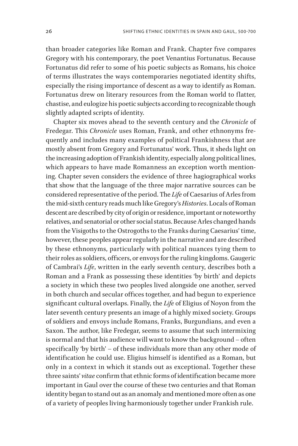than broader categories like Roman and Frank. Chapter five compares Gregory with his contemporary, the poet Venantius Fortunatus. Because Fortunatus did refer to some of his poetic subjects as Romans, his choice of terms illustrates the ways contemporaries negotiated identity shifts, especially the rising importance of descent as a way to identify as Roman. Fortunatus drew on literary resources from the Roman world to flatter, chastise, and eulogize his poetic subjects according to recognizable though slightly adapted scripts of identity.

Chapter six moves ahead to the seventh century and the *Chronicle* of Fredegar. This *Chronicle* uses Roman, Frank, and other ethnonyms frequently and includes many examples of political Frankishness that are mostly absent from Gregory and Fortunatus' work. Thus, it sheds light on the increasing adoption of Frankish identity, especially along political lines, which appears to have made Romanness an exception worth mentioning. Chapter seven considers the evidence of three hagiographical works that show that the language of the three major narrative sources can be considered representative of the period. The *Life* of Caesarius of Arles from the mid-sixth century reads much like Gregory's *Histories*. Locals of Roman descent are described by city of origin or residence, important or noteworthy relatives, and senatorial or other social status. Because Arles changed hands from the Visigoths to the Ostrogoths to the Franks during Caesarius' time, however, these peoples appear regularly in the narrative and are described by these ethnonyms, particularly with political nuances tying them to their roles as soldiers, officers, or envoys for the ruling kingdoms. Gaugeric of Cambrai's *Life*, written in the early seventh century, describes both a Roman and a Frank as possessing these identities 'by birth' and depicts a society in which these two peoples lived alongside one another, served in both church and secular offices together, and had begun to experience significant cultural overlaps. Finally, the *Life* of Eligius of Noyon from the later seventh century presents an image of a highly mixed society. Groups of soldiers and envoys include Romans, Franks, Burgundians, and even a Saxon. The author, like Fredegar, seems to assume that such intermixing is normal and that his audience will want to know the background – often specifically 'by birth' – of these individuals more than any other mode of identification he could use. Eligius himself is identified as a Roman, but only in a context in which it stands out as exceptional. Together these three saints' *vitae* confirm that ethnic forms of identification became more important in Gaul over the course of these two centuries and that Roman identity began to stand out as an anomaly and mentioned more often as one of a variety of peoples living harmoniously together under Frankish rule.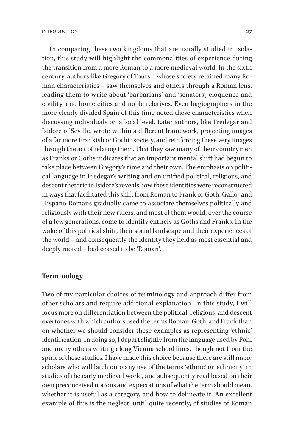<span id="page-27-0"></span>In comparing these two kingdoms that are usually studied in isolation, this study will highlight the commonalities of experience during the transition from a more Roman to a more medieval world. In the sixth century, authors like Gregory of Tours – whose society retained many Roman characteristics – saw themselves and others through a Roman lens, leading them to write about 'barbarians' and 'senators', eloquence and civility, and home cities and noble relatives. Even hagiographers in the more clearly divided Spain of this time noted these characteristics when discussing individuals on a local level. Later authors, like Fredegar and Isidore of Seville, wrote within a different framework, projecting images of a far more Frankish or Gothic society, and reinforcing these very images through the act of relating them. That they saw many of their countrymen as Franks or Goths indicates that an important mental shift had begun to take place between Gregory's time and their own. The emphasis on political language in Fredegar's writing and on unified political, religious, and descent rhetoric in Isidore's reveals how these identities were reconstructed in ways that facilitated this shift from Roman to Frank or Goth. Gallo- and Hispano-Romans gradually came to associate themselves politically and religiously with their new rulers, and most of them would, over the course of a few generations, come to identify entirely as Goths and Franks. In the wake of this political shift, their social landscape and their experiences of the world – and consequently the identity they held as most essential and deeply rooted – had ceased to be 'Roman'.

#### **Terminology**

Two of my particular choices of terminology and approach differ from other scholars and require additional explanation. In this study, I will focus more on differentiation between the political, religious, and descent overtones with which authors used the terms Roman, Goth, and Frank than on whether we should consider these examples as representing 'ethnic' identification. In doing so, I depart slightly from the language used by Pohl and many others writing along Vienna school lines, though not from the spirit of these studies. I have made this choice because there are still many scholars who will latch onto any use of the terms 'ethnic' or 'ethnicity' in studies of the early medieval world, and subsequently read based on their own preconceived notions and expectations of what the term should mean, whether it is useful as a category, and how to delineate it. An excellent example of this is the neglect, until quite recently, of studies of Roman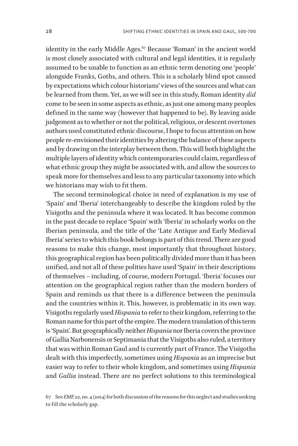identity in the early Middle Ages. $67$  Because 'Roman' in the ancient world is most closely associated with cultural and legal identities, it is regularly assumed to be unable to function as an ethnic term denoting one 'people' alongside Franks, Goths, and others. This is a scholarly blind spot caused by expectations which colour historians' views of the sources and what can be learned from them. Yet, as we will see in this study, Roman identity *did* come to be seen in some aspects as ethnic, as just one among many peoples defined in the same way (however that happened to be). By leaving aside judgement as to whether or not the political, religious, or descent overtones authors used constituted ethnic discourse, I hope to focus attention on how people re-envisioned their identities by altering the balance of these aspects and by drawing on the interplay between them. This will both highlight the multiple layers of identity which contemporaries could claim, regardless of what ethnic group they might be associated with, and allow the sources to speak more for themselves and less to any particular taxonomy into which we historians may wish to fit them.

The second terminological choice in need of explanation is my use of 'Spain' and 'Iberia' interchangeably to describe the kingdom ruled by the Visigoths and the peninsula where it was located. It has become common in the past decade to replace 'Spain' with 'Iberia' in scholarly works on the Iberian peninsula, and the title of the 'Late Antique and Early Medieval Iberia' series to which this book belongs is part of this trend. There are good reasons to make this change, most importantly that throughout history, this geographical region has been politically divided more than it has been unified, and not all of these polities have used 'Spain' in their descriptions of themselves – including, of course, modern Portugal. 'Iberia' focuses our attention on the geographical region rather than the modern borders of Spain and reminds us that there is a difference between the peninsula and the countries within it. This, however, is problematic in its own way. Visigoths regularly used *Hispania* to refer to their kingdom, referring to the Roman name for this part of the empire. The modern translation of this term is 'Spain'. But geographically neither *Hispania* nor Iberia covers the province of Gallia Narbonensis or Septimania that the Visigoths also ruled, a territory that was within Roman Gaul and is currently part of France. The Visigoths dealt with this imperfectly, sometimes using *Hispania* as an imprecise but easier way to refer to their whole kingdom, and sometimes using *Hispania* and *Gallia* instead. There are no perfect solutions to this terminological

<sup>67</sup> See *EME* 22, no. 4 (2014) for both discussion of the reasons for this neglect and studies seeking to fill the scholarly gap.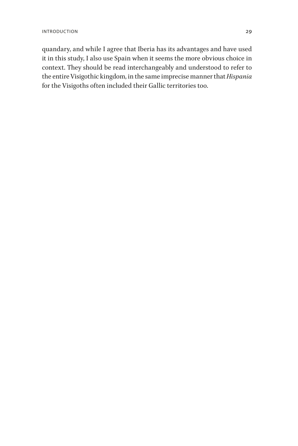quandary, and while I agree that Iberia has its advantages and have used it in this study, I also use Spain when it seems the more obvious choice in context. They should be read interchangeably and understood to refer to the entire Visigothic kingdom, in the same imprecise manner that *Hispania* for the Visigoths often included their Gallic territories too.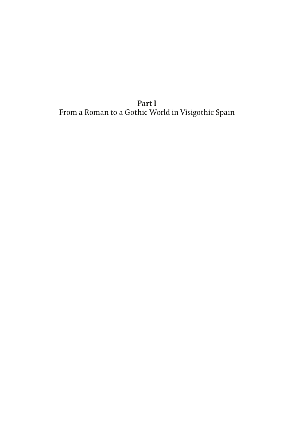<span id="page-31-0"></span>**Part I** From a Roman to a Gothic World in Visigothic Spain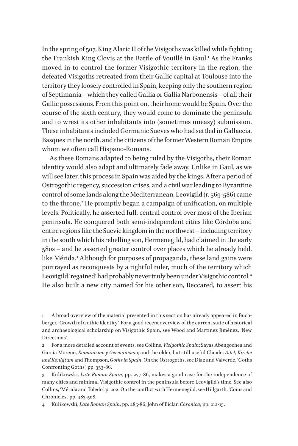In the spring of 507, King Alaric II of the Visigoths was killed while fighting the Frankish King Clovis at the Battle of Vouillé in Gaul.<sup>1</sup> As the Franks moved in to control the former Visigothic territory in the region, the defeated Visigoths retreated from their Gallic capital at Toulouse into the territory they loosely controlled in Spain, keeping only the southern region of Septimania – which they called Gallia or Gallia Narbonensis – of all their Gallic possessions. From this point on, their home would be Spain. Over the course of the sixth century, they would come to dominate the peninsula and to wrest its other inhabitants into (sometimes uneasy) submission. These inhabitants included Germanic Sueves who had settled in Gallaecia, Basques in the north, and the citizens of the former Western Roman Empire whom we often call Hispano-Romans.

As these Romans adapted to being ruled by the Visigoths, their Roman identity would also adapt and ultimately fade away. Unlike in Gaul, as we will see later, this process in Spain was aided by the kings. After a period of Ostrogothic regency, succession crises, and a civil war leading to Byzantine control of some lands along the Mediterranean, Leovigild (r. 569-586) came to the throne.2 He promptly began a campaign of unification, on multiple levels. Politically, he asserted full, central control over most of the Iberian peninsula. He conquered both semi-independent cities like Córdoba and entire regions like the Suevic kingdom in the northwest – including territory in the south which his rebelling son, Hermenegild, had claimed in the early 580s – and he asserted greater control over places which he already held, like Mérida.3 Although for purposes of propaganda, these land gains were portrayed as reconquests by a rightful ruler, much of the territory which Leovigild 'regained' had probably never truly been under Visigothic control.<sup>4</sup> He also built a new city named for his other son, Reccared, to assert his

1 A broad overview of the material presented in this section has already appeared in Buchberger, 'Growth of Gothic Identity'. For a good recent overview of the current state of historical and archaeological scholarship on Visigothic Spain, see Wood and Martínez Jiménez, 'New Directions'.

2 For a more detailed account of events, see Collins, *Visigothic Spain*; Sayas Abengochea and García Moreno, *Romanismo y Germanismo*; and the older, but still useful Claude, *Adel, Kirche und Königtum* and Thompson, *Goths in Spain*. On the Ostrogoths, see Díaz and Valverde, 'Goths Confronting Goths', pp. 353-86.

3 Kulikowski, *Late Roman Spain*, pp. 277-86, makes a good case for the independence of many cities and minimal Visigothic control in the peninsula before Leovigild's time. See also Collins, 'Mérida and Toledo', p. 202. On the conflict with Hermenegild, see Hillgarth, 'Coins and Chronicles', pp. 483-508.

4 Kulikowski, *Late Roman Spain*, pp. 285-86; John of Biclar, *Chronica*, pp. 212-15.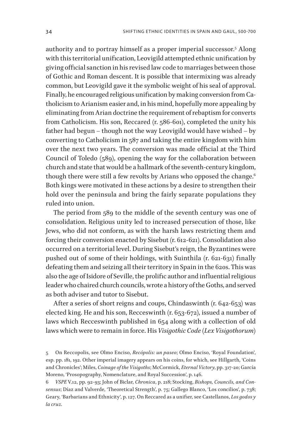authority and to portray himself as a proper imperial successor.5 Along with this territorial unification, Leovigild attempted ethnic unification by giving official sanction in his revised law code to marriages between those of Gothic and Roman descent. It is possible that intermixing was already common, but Leovigild gave it the symbolic weight of his seal of approval. Finally, he encouraged religious unification by making conversion from Catholicism to Arianism easier and, in his mind, hopefully more appealing by eliminating from Arian doctrine the requirement of rebaptism for converts from Catholicism. His son, Reccared (r. 586-601), completed the unity his father had begun – though not the way Leovigild would have wished – by converting to Catholicism in 587 and taking the entire kingdom with him over the next two years. The conversion was made official at the Third Council of Toledo (589), opening the way for the collaboration between church and state that would be a hallmark of the seventh-century kingdom, though there were still a few revolts by Arians who opposed the change.<sup>6</sup> Both kings were motivated in these actions by a desire to strengthen their hold over the peninsula and bring the fairly separate populations they ruled into union.

The period from 589 to the middle of the seventh century was one of consolidation. Religious unity led to increased persecution of those, like Jews, who did not conform, as with the harsh laws restricting them and forcing their conversion enacted by Sisebut (r. 612-621). Consolidation also occurred on a territorial level. During Sisebut's reign, the Byzantines were pushed out of some of their holdings, with Suinthila (r. 621-631) finally defeating them and seizing all their territory in Spain in the 620s. This was also the age of Isidore of Seville, the prolific author and influential religious leader who chaired church councils, wrote a history of the Goths, and served as both adviser and tutor to Sisebut.

After a series of short reigns and coups, Chindaswinth (r. 642-653) was elected king. He and his son, Recceswinth (r. 653-672), issued a number of laws which Recceswinth published in 654 along with a collection of old laws which were to remain in force. His *Visigothic Code* (*Lex Visigothorum*)

<sup>5</sup> On Reccopolis, see Olmo Enciso, *Recópolis: un paseo*; Olmo Enciso, 'Royal Foundation', esp. pp. 181, 192. Other imperial imagery appears on his coins, for which, see Hillgarth, 'Coins and Chronicles'; Miles, *Coinage of the Visigoths*; McCormick, *Eternal Victory*, pp. 317-20; García Moreno, 'Prosopography, Nomenclature, and Royal Succession', p. 146.

<sup>6</sup> *VSPE* V.12, pp. 92-93; John of Biclar, *Chronica*, p. 218; Stocking, *Bishops, Councils, and Consensus*; Díaz and Valverde, 'Theoretical Strength', p. 75; Gallego Blanco, 'Los concilios', p. 738; Geary, 'Barbarians and Ethnicity', p. 127. On Reccared as a unifier, see Castellanos, *Los godos y la cruz*.